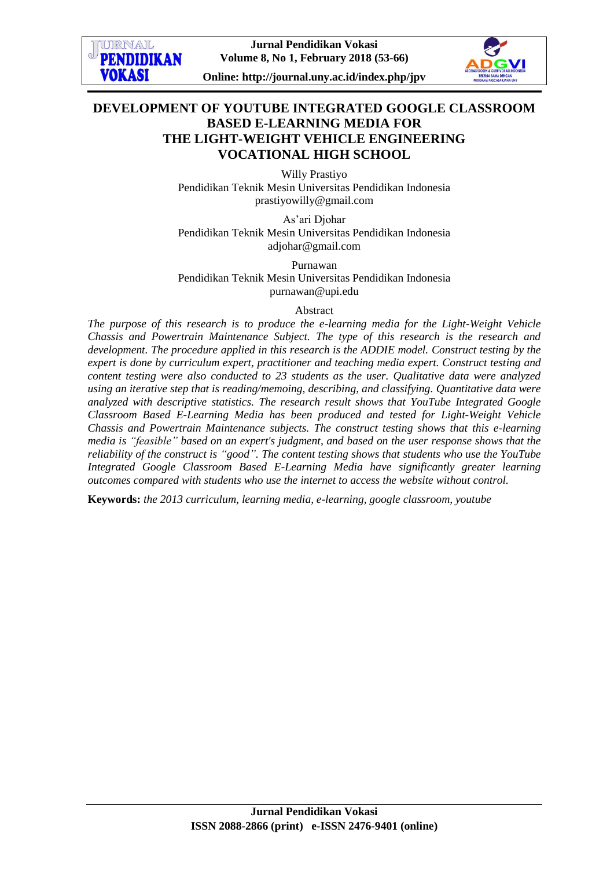

## **DEVELOPMENT OF YOUTUBE INTEGRATED GOOGLE CLASSROOM BASED E-LEARNING MEDIA FOR THE LIGHT-WEIGHT VEHICLE ENGINEERING VOCATIONAL HIGH SCHOOL**

Willy Prastiyo Pendidikan Teknik Mesin Universitas Pendidikan Indonesia [prastiyowilly@gmail.com](mailto:prastiyowilly@gmail.com)

As'ari Djohar Pendidikan Teknik Mesin Universitas Pendidikan Indonesia adjohar@gmail.com

Purnawan Pendidikan Teknik Mesin Universitas Pendidikan Indonesia purnawan@upi.edu

#### Abstract

*The purpose of this research is to produce the e-learning media for the Light-Weight Vehicle Chassis and Powertrain Maintenance Subject. The type of this research is the research and development. The procedure applied in this research is the ADDIE model. Construct testing by the expert is done by curriculum expert, practitioner and teaching media expert. Construct testing and content testing were also conducted to 23 students as the user. Qualitative data were analyzed using an iterative step that is reading/memoing, describing, and classifying. Quantitative data were analyzed with descriptive statistics. The research result shows that YouTube Integrated Google Classroom Based E-Learning Media has been produced and tested for Light-Weight Vehicle Chassis and Powertrain Maintenance subjects. The construct testing shows that this e-learning media is "feasible" based on an expert's judgment, and based on the user response shows that the reliability of the construct is "good". The content testing shows that students who use the YouTube Integrated Google Classroom Based E-Learning Media have significantly greater learning outcomes compared with students who use the internet to access the website without control.*

**Keywords:** *the 2013 curriculum, learning media, e-learning, google classroom, youtube*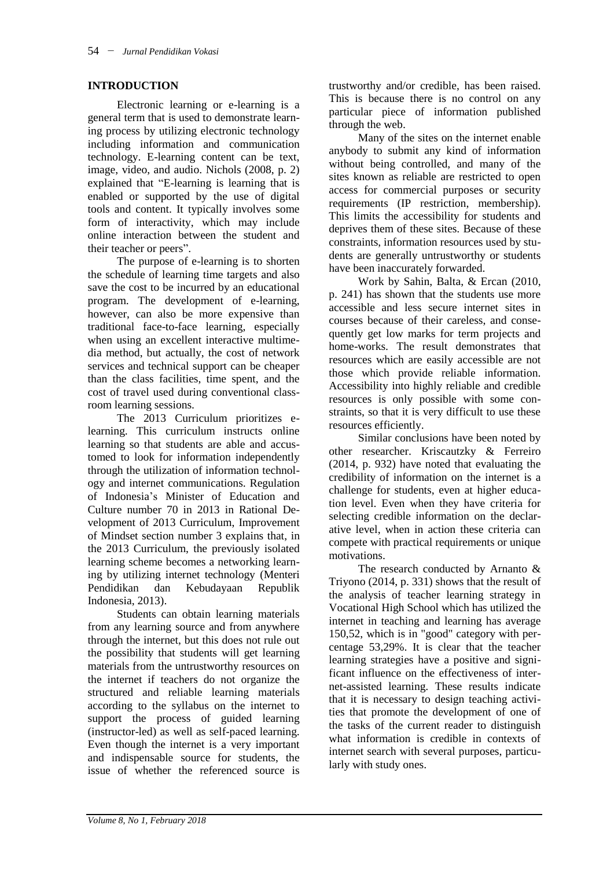#### **INTRODUCTION**

Electronic learning or e-learning is a general term that is used to demonstrate learning process by utilizing electronic technology including information and communication technology. E-learning content can be text, image, video, and audio. Nichols (2008, p. 2) explained that "E-learning is learning that is enabled or supported by the use of digital tools and content. It typically involves some form of interactivity, which may include online interaction between the student and their teacher or peers".

The purpose of e-learning is to shorten the schedule of learning time targets and also save the cost to be incurred by an educational program. The development of e-learning, however, can also be more expensive than traditional face-to-face learning, especially when using an excellent interactive multimedia method, but actually, the cost of network services and technical support can be cheaper than the class facilities, time spent, and the cost of travel used during conventional classroom learning sessions.

The 2013 Curriculum prioritizes elearning. This curriculum instructs online learning so that students are able and accustomed to look for information independently through the utilization of information technology and internet communications. Regulation of Indonesia's Minister of Education and Culture number 70 in 2013 in Rational Development of 2013 Curriculum, Improvement of Mindset section number 3 explains that, in the 2013 Curriculum, the previously isolated learning scheme becomes a networking learning by utilizing internet technology (Menteri Pendidikan dan Kebudayaan Republik Indonesia, 2013).

Students can obtain learning materials from any learning source and from anywhere through the internet, but this does not rule out the possibility that students will get learning materials from the untrustworthy resources on the internet if teachers do not organize the structured and reliable learning materials according to the syllabus on the internet to support the process of guided learning (instructor-led) as well as self-paced learning. Even though the internet is a very important and indispensable source for students, the issue of whether the referenced source is

trustworthy and/or credible, has been raised. This is because there is no control on any particular piece of information published through the web.

Many of the sites on the internet enable anybody to submit any kind of information without being controlled, and many of the sites known as reliable are restricted to open access for commercial purposes or security requirements (IP restriction, membership). This limits the accessibility for students and deprives them of these sites. Because of these constraints, information resources used by students are generally untrustworthy or students have been inaccurately forwarded.

Work by Sahin, Balta, & Ercan (2010, p. 241) has shown that the students use more accessible and less secure internet sites in courses because of their careless, and consequently get low marks for term projects and home-works. The result demonstrates that resources which are easily accessible are not those which provide reliable information. Accessibility into highly reliable and credible resources is only possible with some constraints, so that it is very difficult to use these resources efficiently.

Similar conclusions have been noted by other researcher. Kriscautzky & Ferreiro (2014, p. 932) have noted that evaluating the credibility of information on the internet is a challenge for students, even at higher education level. Even when they have criteria for selecting credible information on the declarative level, when in action these criteria can compete with practical requirements or unique motivations.

The research conducted by Arnanto & Triyono (2014, p. 331) shows that the result of the analysis of teacher learning strategy in Vocational High School which has utilized the internet in teaching and learning has average 150,52, which is in "good" category with percentage 53,29%. It is clear that the teacher learning strategies have a positive and significant influence on the effectiveness of internet-assisted learning. These results indicate that it is necessary to design teaching activities that promote the development of one of the tasks of the current reader to distinguish what information is credible in contexts of internet search with several purposes, particularly with study ones.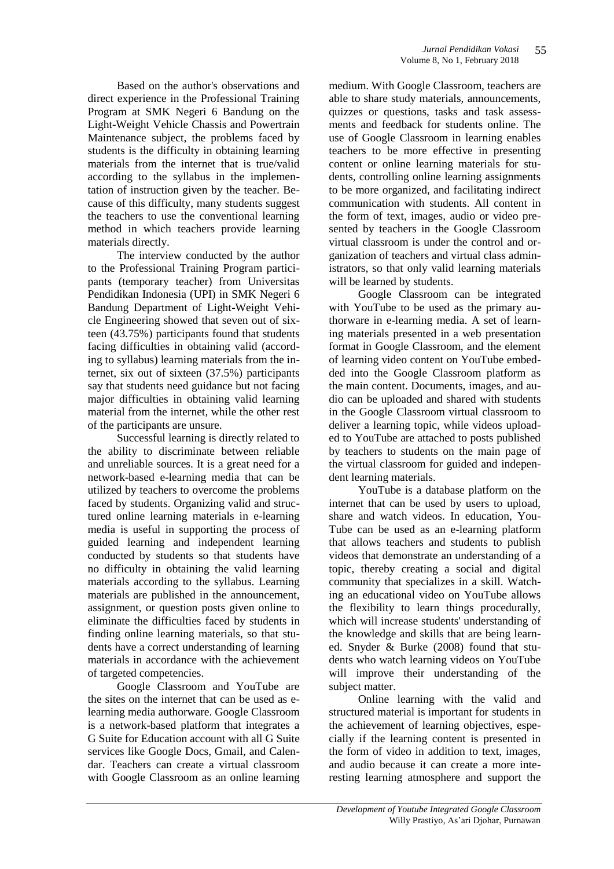Based on the author's observations and direct experience in the Professional Training Program at SMK Negeri 6 Bandung on the Light-Weight Vehicle Chassis and Powertrain Maintenance subject, the problems faced by students is the difficulty in obtaining learning materials from the internet that is true/valid according to the syllabus in the implementation of instruction given by the teacher. Because of this difficulty, many students suggest the teachers to use the conventional learning method in which teachers provide learning materials directly.

The interview conducted by the author to the Professional Training Program participants (temporary teacher) from Universitas Pendidikan Indonesia (UPI) in SMK Negeri 6 Bandung Department of Light-Weight Vehicle Engineering showed that seven out of sixteen (43.75%) participants found that students facing difficulties in obtaining valid (according to syllabus) learning materials from the internet, six out of sixteen (37.5%) participants say that students need guidance but not facing major difficulties in obtaining valid learning material from the internet, while the other rest of the participants are unsure.

Successful learning is directly related to the ability to discriminate between reliable and unreliable sources. It is a great need for a network-based e-learning media that can be utilized by teachers to overcome the problems faced by students. Organizing valid and structured online learning materials in e-learning media is useful in supporting the process of guided learning and independent learning conducted by students so that students have no difficulty in obtaining the valid learning materials according to the syllabus. Learning materials are published in the announcement, assignment, or question posts given online to eliminate the difficulties faced by students in finding online learning materials, so that students have a correct understanding of learning materials in accordance with the achievement of targeted competencies.

Google Classroom and YouTube are the sites on the internet that can be used as elearning media authorware. Google Classroom is a network-based platform that integrates a G Suite for Education account with all G Suite services like Google Docs, Gmail, and Calendar. Teachers can create a virtual classroom with Google Classroom as an online learning medium. With Google Classroom, teachers are able to share study materials, announcements, quizzes or questions, tasks and task assessments and feedback for students online. The use of Google Classroom in learning enables teachers to be more effective in presenting content or online learning materials for students, controlling online learning assignments to be more organized, and facilitating indirect communication with students. All content in the form of text, images, audio or video presented by teachers in the Google Classroom virtual classroom is under the control and organization of teachers and virtual class administrators, so that only valid learning materials will be learned by students.

Google Classroom can be integrated with YouTube to be used as the primary authorware in e-learning media. A set of learning materials presented in a web presentation format in Google Classroom, and the element of learning video content on YouTube embedded into the Google Classroom platform as the main content. Documents, images, and audio can be uploaded and shared with students in the Google Classroom virtual classroom to deliver a learning topic, while videos uploaded to YouTube are attached to posts published by teachers to students on the main page of the virtual classroom for guided and independent learning materials.

YouTube is a database platform on the internet that can be used by users to upload, share and watch videos. In education, You-Tube can be used as an e-learning platform that allows teachers and students to publish videos that demonstrate an understanding of a topic, thereby creating a social and digital community that specializes in a skill. Watching an educational video on YouTube allows the flexibility to learn things procedurally, which will increase students' understanding of the knowledge and skills that are being learned. Snyder & Burke (2008) found that students who watch learning videos on YouTube will improve their understanding of the subject matter.

Online learning with the valid and structured material is important for students in the achievement of learning objectives, especially if the learning content is presented in the form of video in addition to text, images, and audio because it can create a more interesting learning atmosphere and support the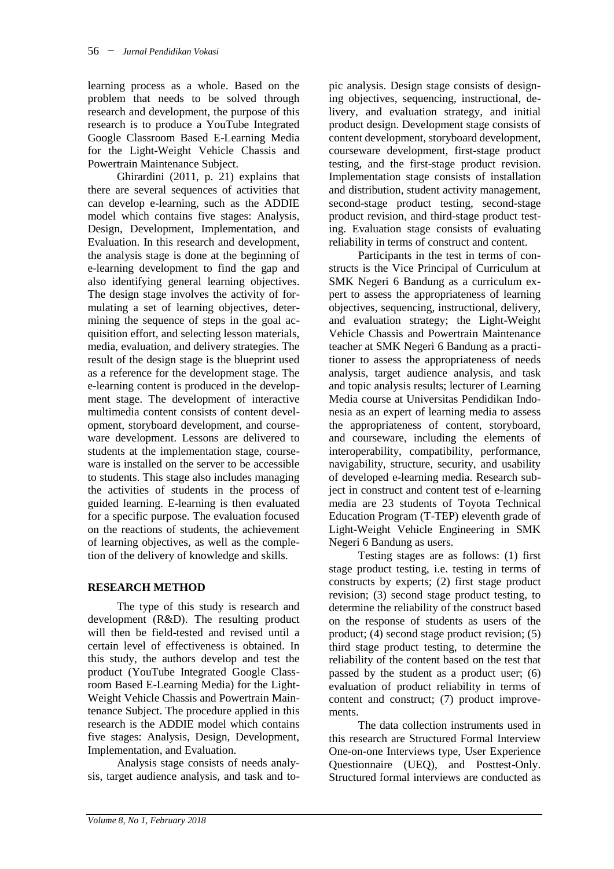learning process as a whole. Based on the problem that needs to be solved through research and development, the purpose of this research is to produce a YouTube Integrated Google Classroom Based E-Learning Media for the Light-Weight Vehicle Chassis and Powertrain Maintenance Subject.

Ghirardini (2011, p. 21) explains that there are several sequences of activities that can develop e-learning, such as the ADDIE model which contains five stages: Analysis, Design, Development, Implementation, and Evaluation. In this research and development, the analysis stage is done at the beginning of e-learning development to find the gap and also identifying general learning objectives. The design stage involves the activity of formulating a set of learning objectives, determining the sequence of steps in the goal acquisition effort, and selecting lesson materials, media, evaluation, and delivery strategies. The result of the design stage is the blueprint used as a reference for the development stage. The e-learning content is produced in the development stage. The development of interactive multimedia content consists of content development, storyboard development, and courseware development. Lessons are delivered to students at the implementation stage, courseware is installed on the server to be accessible to students. This stage also includes managing the activities of students in the process of guided learning. E-learning is then evaluated for a specific purpose. The evaluation focused on the reactions of students, the achievement of learning objectives, as well as the completion of the delivery of knowledge and skills.

## **RESEARCH METHOD**

The type of this study is research and development (R&D). The resulting product will then be field-tested and revised until a certain level of effectiveness is obtained. In this study, the authors develop and test the product (YouTube Integrated Google Classroom Based E-Learning Media) for the Light-Weight Vehicle Chassis and Powertrain Maintenance Subject. The procedure applied in this research is the ADDIE model which contains five stages: Analysis, Design, Development, Implementation, and Evaluation.

Analysis stage consists of needs analysis, target audience analysis, and task and to-

pic analysis. Design stage consists of designing objectives, sequencing, instructional, delivery, and evaluation strategy, and initial product design. Development stage consists of content development, storyboard development, courseware development, first-stage product testing, and the first-stage product revision. Implementation stage consists of installation and distribution, student activity management, second-stage product testing, second-stage product revision, and third-stage product testing. Evaluation stage consists of evaluating reliability in terms of construct and content.

Participants in the test in terms of constructs is the Vice Principal of Curriculum at SMK Negeri 6 Bandung as a curriculum expert to assess the appropriateness of learning objectives, sequencing, instructional, delivery, and evaluation strategy; the Light-Weight Vehicle Chassis and Powertrain Maintenance teacher at SMK Negeri 6 Bandung as a practitioner to assess the appropriateness of needs analysis, target audience analysis, and task and topic analysis results; lecturer of Learning Media course at Universitas Pendidikan Indonesia as an expert of learning media to assess the appropriateness of content, storyboard, and courseware, including the elements of interoperability, compatibility, performance, navigability, structure, security, and usability of developed e-learning media. Research subject in construct and content test of e-learning media are 23 students of Toyota Technical Education Program (T-TEP) eleventh grade of Light-Weight Vehicle Engineering in SMK Negeri 6 Bandung as users.

Testing stages are as follows: (1) first stage product testing, i.e. testing in terms of constructs by experts; (2) first stage product revision; (3) second stage product testing, to determine the reliability of the construct based on the response of students as users of the product; (4) second stage product revision; (5) third stage product testing, to determine the reliability of the content based on the test that passed by the student as a product user; (6) evaluation of product reliability in terms of content and construct; (7) product improvements.

The data collection instruments used in this research are Structured Formal Interview One-on-one Interviews type, User Experience Questionnaire (UEQ), and Posttest-Only. Structured formal interviews are conducted as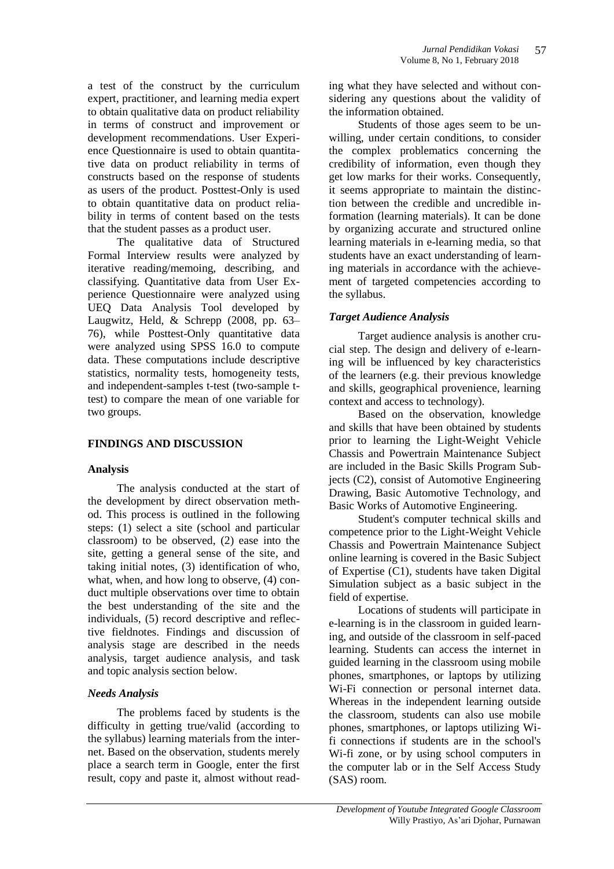a test of the construct by the curriculum expert, practitioner, and learning media expert to obtain qualitative data on product reliability in terms of construct and improvement or development recommendations. User Experience Questionnaire is used to obtain quantitative data on product reliability in terms of constructs based on the response of students as users of the product. Posttest-Only is used to obtain quantitative data on product reliability in terms of content based on the tests that the student passes as a product user.

The qualitative data of Structured Formal Interview results were analyzed by iterative reading/memoing, describing, and classifying. Quantitative data from User Experience Questionnaire were analyzed using UEQ Data Analysis Tool developed by Laugwitz, Held, & Schrepp (2008, pp. 63– 76), while Posttest-Only quantitative data were analyzed using SPSS 16.0 to compute data. These computations include descriptive statistics, normality tests, homogeneity tests, and independent-samples t-test (two-sample ttest) to compare the mean of one variable for two groups.

### **FINDINGS AND DISCUSSION**

### **Analysis**

The analysis conducted at the start of the development by direct observation method. This process is outlined in the following steps: (1) select a site (school and particular classroom) to be observed, (2) ease into the site, getting a general sense of the site, and taking initial notes, (3) identification of who, what, when, and how long to observe, (4) conduct multiple observations over time to obtain the best understanding of the site and the individuals, (5) record descriptive and reflective fieldnotes. Findings and discussion of analysis stage are described in the needs analysis, target audience analysis, and task and topic analysis section below.

### *Needs Analysis*

The problems faced by students is the difficulty in getting true/valid (according to the syllabus) learning materials from the internet. Based on the observation, students merely place a search term in Google, enter the first result, copy and paste it, almost without reading what they have selected and without considering any questions about the validity of the information obtained.

Students of those ages seem to be unwilling, under certain conditions, to consider the complex problematics concerning the credibility of information, even though they get low marks for their works. Consequently, it seems appropriate to maintain the distinction between the credible and uncredible information (learning materials). It can be done by organizing accurate and structured online learning materials in e-learning media, so that students have an exact understanding of learning materials in accordance with the achievement of targeted competencies according to the syllabus.

### *Target Audience Analysis*

Target audience analysis is another crucial step. The design and delivery of e-learning will be influenced by key characteristics of the learners (e.g. their previous knowledge and skills, geographical provenience, learning context and access to technology).

Based on the observation, knowledge and skills that have been obtained by students prior to learning the Light-Weight Vehicle Chassis and Powertrain Maintenance Subject are included in the Basic Skills Program Subjects (C2), consist of Automotive Engineering Drawing, Basic Automotive Technology, and Basic Works of Automotive Engineering.

Student's computer technical skills and competence prior to the Light-Weight Vehicle Chassis and Powertrain Maintenance Subject online learning is covered in the Basic Subject of Expertise (C1), students have taken Digital Simulation subject as a basic subject in the field of expertise.

Locations of students will participate in e-learning is in the classroom in guided learning, and outside of the classroom in self-paced learning. Students can access the internet in guided learning in the classroom using mobile phones, smartphones, or laptops by utilizing Wi-Fi connection or personal internet data. Whereas in the independent learning outside the classroom, students can also use mobile phones, smartphones, or laptops utilizing Wifi connections if students are in the school's Wi-fi zone, or by using school computers in the computer lab or in the Self Access Study (SAS) room.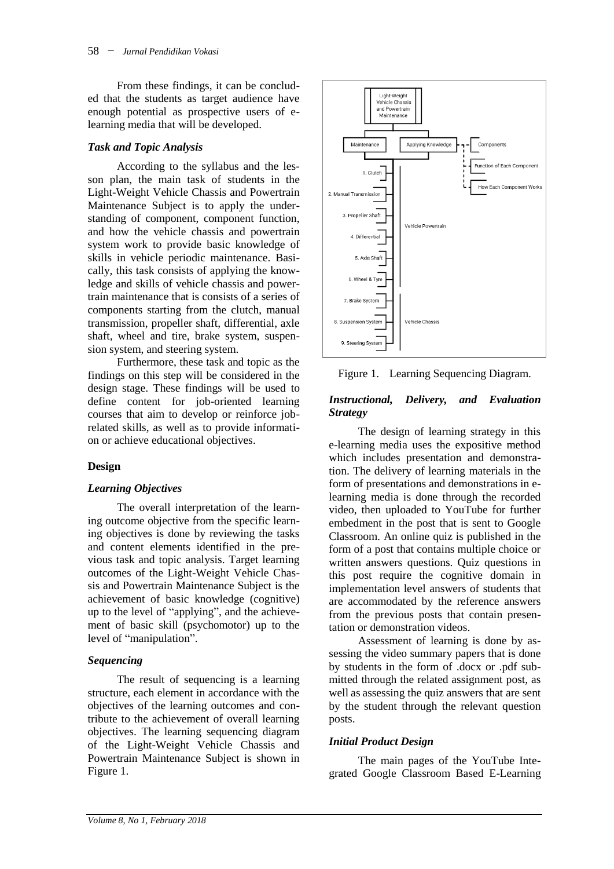From these findings, it can be concluded that the students as target audience have enough potential as prospective users of elearning media that will be developed.

### *Task and Topic Analysis*

According to the syllabus and the lesson plan, the main task of students in the Light-Weight Vehicle Chassis and Powertrain Maintenance Subject is to apply the understanding of component, component function, and how the vehicle chassis and powertrain system work to provide basic knowledge of skills in vehicle periodic maintenance. Basically, this task consists of applying the knowledge and skills of vehicle chassis and powertrain maintenance that is consists of a series of components starting from the clutch, manual transmission, propeller shaft, differential, axle shaft, wheel and tire, brake system, suspension system, and steering system.

Furthermore, these task and topic as the findings on this step will be considered in the design stage. These findings will be used to define content for job-oriented learning courses that aim to develop or reinforce jobrelated skills, as well as to provide information or achieve educational objectives.

## **Design**

### *Learning Objectives*

The overall interpretation of the learning outcome objective from the specific learning objectives is done by reviewing the tasks and content elements identified in the previous task and topic analysis. Target learning outcomes of the Light-Weight Vehicle Chassis and Powertrain Maintenance Subject is the achievement of basic knowledge (cognitive) up to the level of "applying", and the achievement of basic skill (psychomotor) up to the level of "manipulation".

### *Sequencing*

The result of sequencing is a learning structure, each element in accordance with the objectives of the learning outcomes and contribute to the achievement of overall learning objectives. The learning sequencing diagram of the Light-Weight Vehicle Chassis and Powertrain Maintenance Subject is shown in Figure 1.



Figure 1. Learning Sequencing Diagram.

### *Instructional, Delivery, and Evaluation Strategy*

The design of learning strategy in this e-learning media uses the expositive method which includes presentation and demonstration. The delivery of learning materials in the form of presentations and demonstrations in elearning media is done through the recorded video, then uploaded to YouTube for further embedment in the post that is sent to Google Classroom. An online quiz is published in the form of a post that contains multiple choice or written answers questions. Quiz questions in this post require the cognitive domain in implementation level answers of students that are accommodated by the reference answers from the previous posts that contain presentation or demonstration videos.

Assessment of learning is done by assessing the video summary papers that is done by students in the form of .docx or .pdf submitted through the related assignment post, as well as assessing the quiz answers that are sent by the student through the relevant question posts.

## *Initial Product Design*

The main pages of the YouTube Integrated Google Classroom Based E-Learning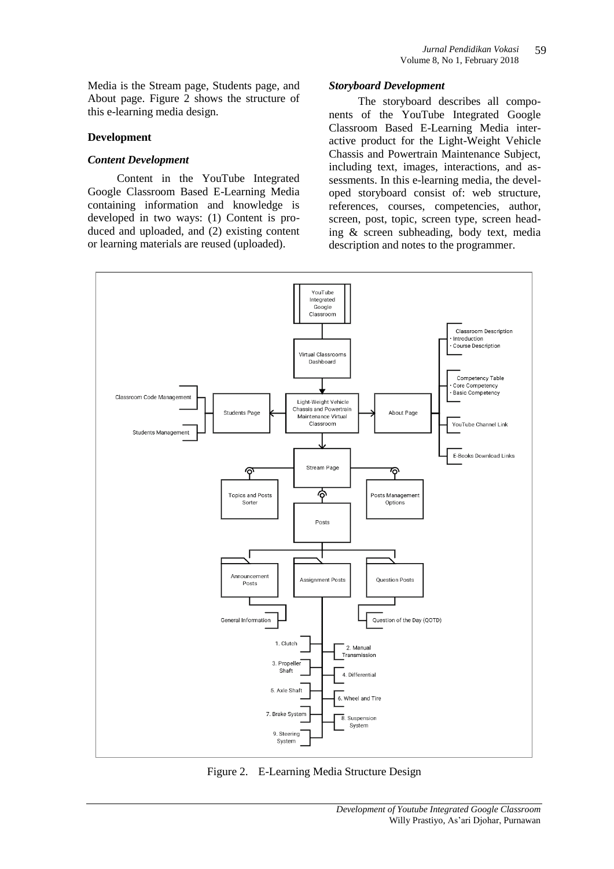Media is the Stream page, Students page, and About page. Figure 2 shows the structure of this e-learning media design.

#### **Development**

#### *Content Development*

Content in the YouTube Integrated Google Classroom Based E-Learning Media containing information and knowledge is developed in two ways: (1) Content is produced and uploaded, and (2) existing content or learning materials are reused (uploaded).

#### *Storyboard Development*

The storyboard describes all components of the YouTube Integrated Google Classroom Based E-Learning Media interactive product for the Light-Weight Vehicle Chassis and Powertrain Maintenance Subject, including text, images, interactions, and assessments. In this e-learning media, the developed storyboard consist of: web structure, references, courses, competencies, author, screen, post, topic, screen type, screen heading & screen subheading, body text, media description and notes to the programmer.



Figure 2. E-Learning Media Structure Design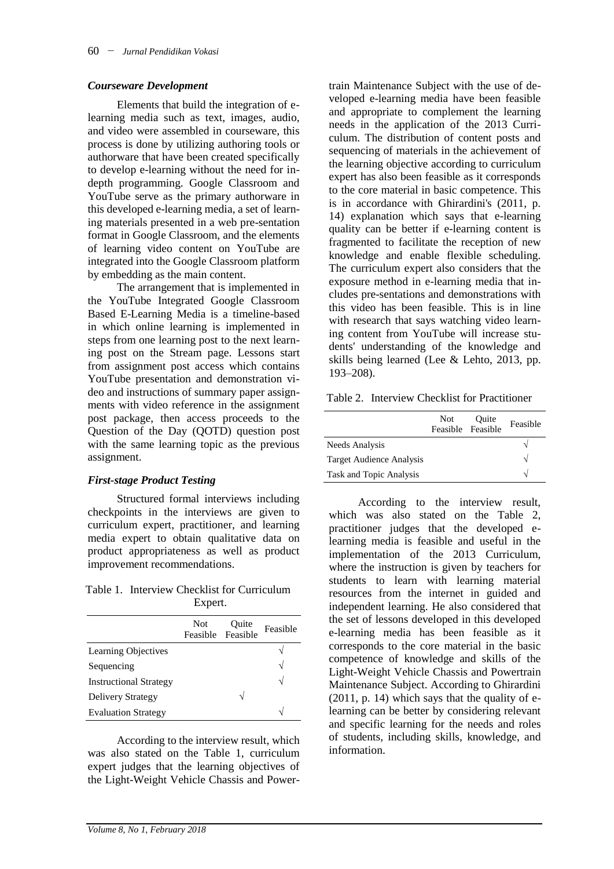#### *Courseware Development*

Elements that build the integration of elearning media such as text, images, audio, and video were assembled in courseware, this process is done by utilizing authoring tools or authorware that have been created specifically to develop e-learning without the need for indepth programming. Google Classroom and YouTube serve as the primary authorware in this developed e-learning media, a set of learning materials presented in a web pre-sentation format in Google Classroom, and the elements of learning video content on YouTube are integrated into the Google Classroom platform by embedding as the main content.

The arrangement that is implemented in the YouTube Integrated Google Classroom Based E-Learning Media is a timeline-based in which online learning is implemented in steps from one learning post to the next learning post on the Stream page. Lessons start from assignment post access which contains YouTube presentation and demonstration video and instructions of summary paper assignments with video reference in the assignment post package, then access proceeds to the Question of the Day (QOTD) question post with the same learning topic as the previous assignment.

#### *First-stage Product Testing*

Structured formal interviews including checkpoints in the interviews are given to curriculum expert, practitioner, and learning media expert to obtain qualitative data on product appropriateness as well as product improvement recommendations.

Table 1. Interview Checklist for Curriculum Expert.

|                               | Not. | Quite<br>Feasible Feasible | Feasible |
|-------------------------------|------|----------------------------|----------|
| <b>Learning Objectives</b>    |      |                            |          |
| Sequencing                    |      |                            | N        |
| <b>Instructional Strategy</b> |      |                            | N        |
| Delivery Strategy             |      | ٦                          |          |
| <b>Evaluation Strategy</b>    |      |                            |          |

According to the interview result, which was also stated on the Table 1, curriculum expert judges that the learning objectives of the Light-Weight Vehicle Chassis and Powertrain Maintenance Subject with the use of developed e-learning media have been feasible and appropriate to complement the learning needs in the application of the 2013 Curriculum. The distribution of content posts and sequencing of materials in the achievement of the learning objective according to curriculum expert has also been feasible as it corresponds to the core material in basic competence. This is in accordance with Ghirardini's (2011, p. 14) explanation which says that e-learning quality can be better if e-learning content is fragmented to facilitate the reception of new knowledge and enable flexible scheduling. The curriculum expert also considers that the exposure method in e-learning media that includes pre-sentations and demonstrations with this video has been feasible. This is in line with research that says watching video learning content from YouTube will increase students' understanding of the knowledge and skills being learned (Lee & Lehto, 2013, pp. 193–208).

Table 2. Interview Checklist for Practitioner

|                          | Not | Ouite<br>Feasible Feasible | Feasible |
|--------------------------|-----|----------------------------|----------|
| Needs Analysis           |     |                            |          |
| Target Audience Analysis |     |                            | N        |
| Task and Topic Analysis  |     |                            | N        |

According to the interview result, which was also stated on the Table 2. practitioner judges that the developed elearning media is feasible and useful in the implementation of the 2013 Curriculum, where the instruction is given by teachers for students to learn with learning material resources from the internet in guided and independent learning. He also considered that the set of lessons developed in this developed e-learning media has been feasible as it corresponds to the core material in the basic competence of knowledge and skills of the Light-Weight Vehicle Chassis and Powertrain Maintenance Subject. According to Ghirardini (2011, p. 14) which says that the quality of elearning can be better by considering relevant and specific learning for the needs and roles of students, including skills, knowledge, and information.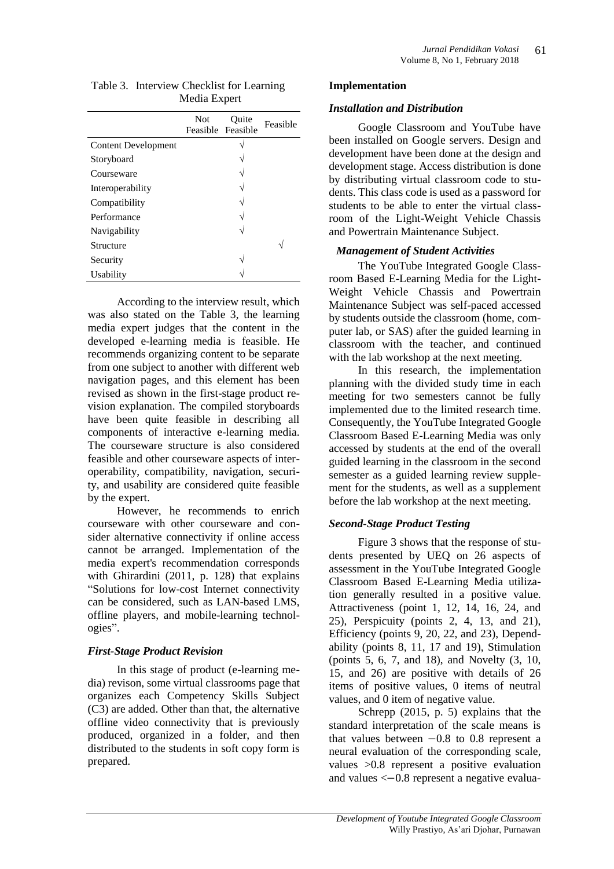| Table 3. Interview Checklist for Learning |
|-------------------------------------------|
| Media Expert                              |

|                            | <b>Not</b> | Ouite<br>Feasible Feasible | Feasible |
|----------------------------|------------|----------------------------|----------|
| <b>Content Development</b> |            |                            |          |
| Storyboard                 |            |                            |          |
| Courseware                 |            |                            |          |
| Interoperability           |            |                            |          |
| Compatibility              |            |                            |          |
| Performance                |            |                            |          |
| Navigability               |            |                            |          |
| Structure                  |            |                            |          |
| Security                   |            |                            |          |
| Usability                  |            |                            |          |

According to the interview result, which was also stated on the Table 3, the learning media expert judges that the content in the developed e-learning media is feasible. He recommends organizing content to be separate from one subject to another with different web navigation pages, and this element has been revised as shown in the first-stage product revision explanation. The compiled storyboards have been quite feasible in describing all components of interactive e-learning media. The courseware structure is also considered feasible and other courseware aspects of interoperability, compatibility, navigation, security, and usability are considered quite feasible by the expert.

However, he recommends to enrich courseware with other courseware and consider alternative connectivity if online access cannot be arranged. Implementation of the media expert's recommendation corresponds with Ghirardini (2011, p. 128) that explains "Solutions for low-cost Internet connectivity can be considered, such as LAN-based LMS, offline players, and mobile-learning technologies".

### *First-Stage Product Revision*

In this stage of product (e-learning media) revison, some virtual classrooms page that organizes each Competency Skills Subject (C3) are added. Other than that, the alternative offline video connectivity that is previously produced, organized in a folder, and then distributed to the students in soft copy form is prepared.

### **Implementation**

### *Installation and Distribution*

Google Classroom and YouTube have been installed on Google servers. Design and development have been done at the design and development stage. Access distribution is done by distributing virtual classroom code to students. This class code is used as a password for students to be able to enter the virtual classroom of the Light-Weight Vehicle Chassis and Powertrain Maintenance Subject.

### *Management of Student Activities*

The YouTube Integrated Google Classroom Based E-Learning Media for the Light-Weight Vehicle Chassis and Powertrain Maintenance Subject was self-paced accessed by students outside the classroom (home, computer lab, or SAS) after the guided learning in classroom with the teacher, and continued with the lab workshop at the next meeting.

In this research, the implementation planning with the divided study time in each meeting for two semesters cannot be fully implemented due to the limited research time. Consequently, the YouTube Integrated Google Classroom Based E-Learning Media was only accessed by students at the end of the overall guided learning in the classroom in the second semester as a guided learning review supplement for the students, as well as a supplement before the lab workshop at the next meeting.

## *Second-Stage Product Testing*

Figure 3 shows that the response of students presented by UEQ on 26 aspects of assessment in the YouTube Integrated Google Classroom Based E-Learning Media utilization generally resulted in a positive value. Attractiveness (point 1, 12, 14, 16, 24, and 25), Perspicuity (points 2, 4, 13, and 21), Efficiency (points 9, 20, 22, and 23), Dependability (points 8, 11, 17 and 19), Stimulation (points 5, 6, 7, and 18), and Novelty (3, 10, 15, and 26) are positive with details of 26 items of positive values, 0 items of neutral values, and 0 item of negative value.

Schrepp (2015, p. 5) explains that the standard interpretation of the scale means is that values between  $-0.8$  to 0.8 represent a neural evaluation of the corresponding scale, values >0.8 represent a positive evaluation and values  $<-0.8$  represent a negative evalua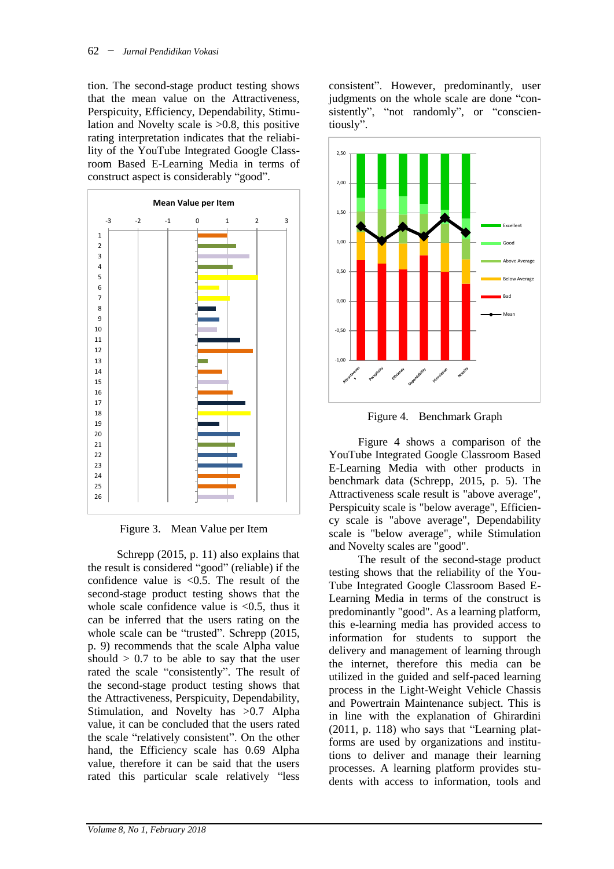tion. The second-stage product testing shows that the mean value on the Attractiveness, Perspicuity, Efficiency, Dependability, Stimulation and Novelty scale is >0.8, this positive rating interpretation indicates that the reliability of the YouTube Integrated Google Classroom Based E-Learning Media in terms of construct aspect is considerably "good".



Figure 3. Mean Value per Item

Schrepp (2015, p. 11) also explains that the result is considered "good" (reliable) if the confidence value is  $\langle 0.5$ . The result of the second-stage product testing shows that the whole scale confidence value is  $< 0.5$ , thus it can be inferred that the users rating on the whole scale can be "trusted". Schrepp (2015, p. 9) recommends that the scale Alpha value should  $> 0.7$  to be able to say that the user rated the scale "consistently". The result of the second-stage product testing shows that the Attractiveness, Perspicuity, Dependability, Stimulation, and Novelty has >0.7 Alpha value, it can be concluded that the users rated the scale "relatively consistent". On the other hand, the Efficiency scale has 0.69 Alpha value, therefore it can be said that the users rated this particular scale relatively "less

consistent". However, predominantly, user judgments on the whole scale are done "consistently", "not randomly", or "conscientiously".





Figure 4 shows a comparison of the YouTube Integrated Google Classroom Based E-Learning Media with other products in benchmark data (Schrepp, 2015, p. 5). The Attractiveness scale result is "above average", Perspicuity scale is "below average", Efficiency scale is "above average", Dependability scale is "below average", while Stimulation and Novelty scales are "good".

The result of the second-stage product testing shows that the reliability of the You-Tube Integrated Google Classroom Based E-Learning Media in terms of the construct is predominantly "good". As a learning platform, this e-learning media has provided access to information for students to support the delivery and management of learning through the internet, therefore this media can be utilized in the guided and self-paced learning process in the Light-Weight Vehicle Chassis and Powertrain Maintenance subject. This is in line with the explanation of Ghirardini (2011, p. 118) who says that "Learning platforms are used by organizations and institutions to deliver and manage their learning processes. A learning platform provides students with access to information, tools and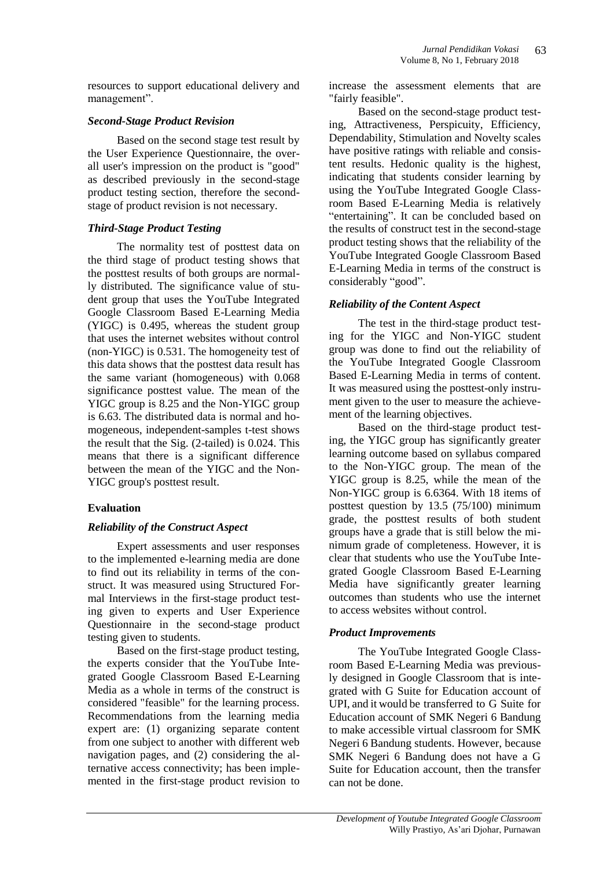resources to support educational delivery and management".

### *Second-Stage Product Revision*

Based on the second stage test result by the User Experience Questionnaire, the overall user's impression on the product is "good" as described previously in the second-stage product testing section, therefore the secondstage of product revision is not necessary.

### *Third-Stage Product Testing*

The normality test of posttest data on the third stage of product testing shows that the posttest results of both groups are normally distributed. The significance value of student group that uses the YouTube Integrated Google Classroom Based E-Learning Media (YIGC) is 0.495, whereas the student group that uses the internet websites without control (non-YIGC) is 0.531. The homogeneity test of this data shows that the posttest data result has the same variant (homogeneous) with 0.068 significance posttest value. The mean of the YIGC group is 8.25 and the Non-YIGC group is 6.63. The distributed data is normal and homogeneous, independent-samples t-test shows the result that the Sig. (2-tailed) is 0.024. This means that there is a significant difference between the mean of the YIGC and the Non-YIGC group's posttest result.

## **Evaluation**

## *Reliability of the Construct Aspect*

Expert assessments and user responses to the implemented e-learning media are done to find out its reliability in terms of the construct. It was measured using Structured Formal Interviews in the first-stage product testing given to experts and User Experience Questionnaire in the second-stage product testing given to students.

Based on the first-stage product testing, the experts consider that the YouTube Integrated Google Classroom Based E-Learning Media as a whole in terms of the construct is considered "feasible" for the learning process. Recommendations from the learning media expert are: (1) organizing separate content from one subject to another with different web navigation pages, and (2) considering the alternative access connectivity; has been implemented in the first-stage product revision to

increase the assessment elements that are "fairly feasible".

Based on the second-stage product testing, Attractiveness, Perspicuity, Efficiency, Dependability, Stimulation and Novelty scales have positive ratings with reliable and consistent results. Hedonic quality is the highest, indicating that students consider learning by using the YouTube Integrated Google Classroom Based E-Learning Media is relatively "entertaining". It can be concluded based on the results of construct test in the second-stage product testing shows that the reliability of the YouTube Integrated Google Classroom Based E-Learning Media in terms of the construct is considerably "good".

## *Reliability of the Content Aspect*

The test in the third-stage product testing for the YIGC and Non-YIGC student group was done to find out the reliability of the YouTube Integrated Google Classroom Based E-Learning Media in terms of content. It was measured using the posttest-only instrument given to the user to measure the achievement of the learning objectives.

Based on the third-stage product testing, the YIGC group has significantly greater learning outcome based on syllabus compared to the Non-YIGC group. The mean of the YIGC group is 8.25, while the mean of the Non-YIGC group is 6.6364. With 18 items of posttest question by 13.5 (75/100) minimum grade, the posttest results of both student groups have a grade that is still below the minimum grade of completeness. However, it is clear that students who use the YouTube Integrated Google Classroom Based E-Learning Media have significantly greater learning outcomes than students who use the internet to access websites without control.

### *Product Improvements*

The YouTube Integrated Google Classroom Based E-Learning Media was previously designed in Google Classroom that is integrated with G Suite for Education account of UPI, and it would be transferred to G Suite for Education account of SMK Negeri 6 Bandung to make accessible virtual classroom for SMK Negeri 6 Bandung students. However, because SMK Negeri 6 Bandung does not have a G Suite for Education account, then the transfer can not be done.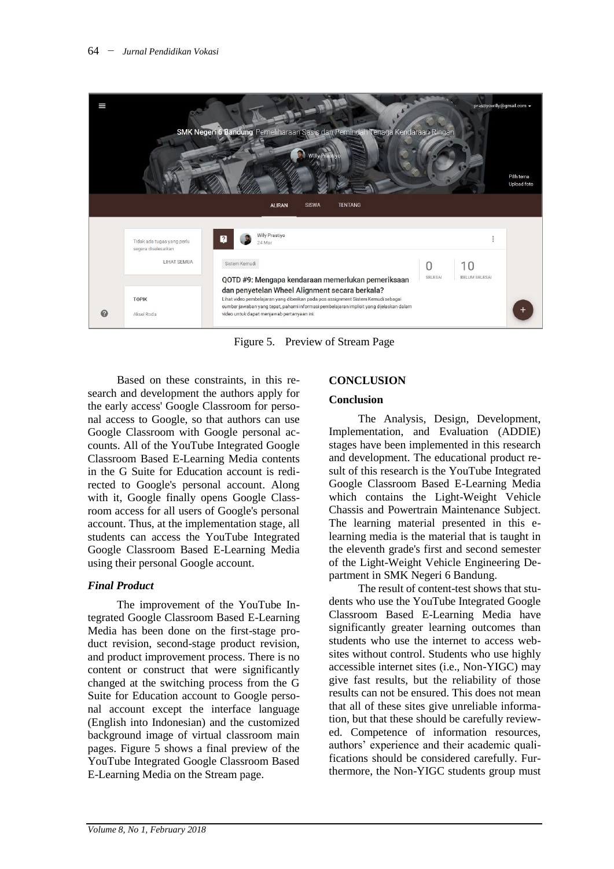

Figure 5. Preview of Stream Page

Based on these constraints, in this research and development the authors apply for the early access' Google Classroom for personal access to Google, so that authors can use Google Classroom with Google personal accounts. All of the YouTube Integrated Google Classroom Based E-Learning Media contents in the G Suite for Education account is redirected to Google's personal account. Along with it, Google finally opens Google Classroom access for all users of Google's personal account. Thus, at the implementation stage, all students can access the YouTube Integrated Google Classroom Based E-Learning Media using their personal Google account.

### *Final Product*

The improvement of the YouTube Integrated Google Classroom Based E-Learning Media has been done on the first-stage product revision, second-stage product revision, and product improvement process. There is no content or construct that were significantly changed at the switching process from the G Suite for Education account to Google personal account except the interface language (English into Indonesian) and the customized background image of virtual classroom main pages. Figure 5 shows a final preview of the YouTube Integrated Google Classroom Based E-Learning Media on the Stream page.

# **CONCLUSION**

### **Conclusion**

The Analysis, Design, Development, Implementation, and Evaluation (ADDIE) stages have been implemented in this research and development. The educational product result of this research is the YouTube Integrated Google Classroom Based E-Learning Media which contains the Light-Weight Vehicle Chassis and Powertrain Maintenance Subject. The learning material presented in this elearning media is the material that is taught in the eleventh grade's first and second semester of the Light-Weight Vehicle Engineering Department in SMK Negeri 6 Bandung.

The result of content-test shows that students who use the YouTube Integrated Google Classroom Based E-Learning Media have significantly greater learning outcomes than students who use the internet to access websites without control. Students who use highly accessible internet sites (i.e., Non-YIGC) may give fast results, but the reliability of those results can not be ensured. This does not mean that all of these sites give unreliable information, but that these should be carefully reviewed. Competence of information resources, authors' experience and their academic qualifications should be considered carefully. Furthermore, the Non-YIGC students group must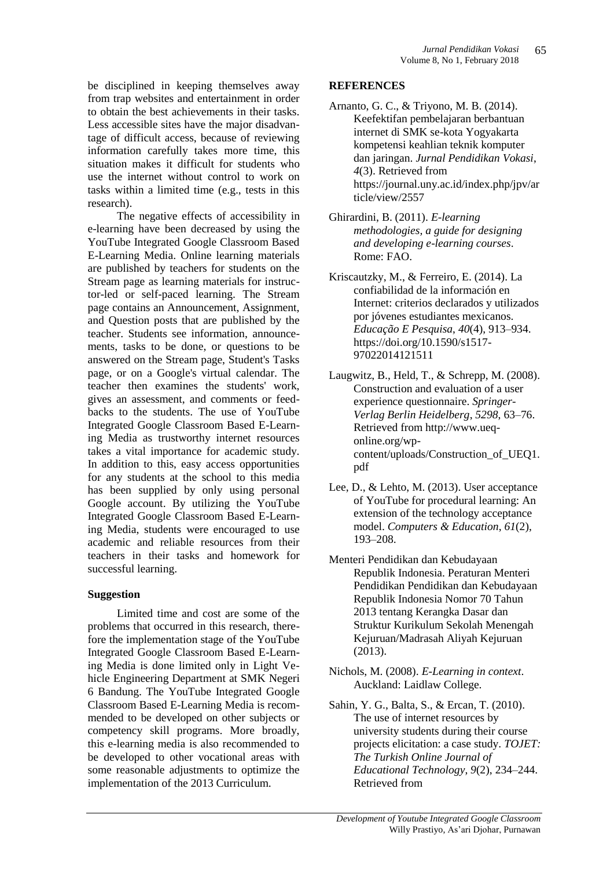be disciplined in keeping themselves away from trap websites and entertainment in order to obtain the best achievements in their tasks. Less accessible sites have the major disadvantage of difficult access, because of reviewing information carefully takes more time, this situation makes it difficult for students who use the internet without control to work on tasks within a limited time (e.g., tests in this research).

The negative effects of accessibility in e-learning have been decreased by using the YouTube Integrated Google Classroom Based E-Learning Media. Online learning materials are published by teachers for students on the Stream page as learning materials for instructor-led or self-paced learning. The Stream page contains an Announcement, Assignment, and Question posts that are published by the teacher. Students see information, announcements, tasks to be done, or questions to be answered on the Stream page, Student's Tasks page, or on a Google's virtual calendar. The teacher then examines the students' work, gives an assessment, and comments or feedbacks to the students. The use of YouTube Integrated Google Classroom Based E-Learning Media as trustworthy internet resources takes a vital importance for academic study. In addition to this, easy access opportunities for any students at the school to this media has been supplied by only using personal Google account. By utilizing the YouTube Integrated Google Classroom Based E-Learning Media, students were encouraged to use academic and reliable resources from their teachers in their tasks and homework for successful learning.

### **Suggestion**

Limited time and cost are some of the problems that occurred in this research, therefore the implementation stage of the YouTube Integrated Google Classroom Based E-Learning Media is done limited only in Light Vehicle Engineering Department at SMK Negeri 6 Bandung. The YouTube Integrated Google Classroom Based E-Learning Media is recommended to be developed on other subjects or competency skill programs. More broadly, this e-learning media is also recommended to be developed to other vocational areas with some reasonable adjustments to optimize the implementation of the 2013 Curriculum.

#### **REFERENCES**

- Arnanto, G. C., & Triyono, M. B. (2014). Keefektifan pembelajaran berbantuan internet di SMK se-kota Yogyakarta kompetensi keahlian teknik komputer dan jaringan. *Jurnal Pendidikan Vokasi*, *4*(3). Retrieved from https://journal.uny.ac.id/index.php/jpv/ar ticle/view/2557
- Ghirardini, B. (2011). *E-learning methodologies, a guide for designing and developing e-learning courses*. Rome: FAO.
- Kriscautzky, M., & Ferreiro, E. (2014). La confiabilidad de la información en Internet: criterios declarados y utilizados por jóvenes estudiantes mexicanos. *Educação E Pesquisa*, *40*(4), 913–934. https://doi.org/10.1590/s1517- 97022014121511
- Laugwitz, B., Held, T., & Schrepp, M. (2008). Construction and evaluation of a user experience questionnaire. *Springer-Verlag Berlin Heidelberg*, *5298*, 63–76. Retrieved from http://www.ueqonline.org/wpcontent/uploads/Construction\_of\_UEQ1. pdf
- Lee, D., & Lehto, M. (2013). User acceptance of YouTube for procedural learning: An extension of the technology acceptance model. *Computers & Education*, *61*(2), 193–208.
- Menteri Pendidikan dan Kebudayaan Republik Indonesia. Peraturan Menteri Pendidikan Pendidikan dan Kebudayaan Republik Indonesia Nomor 70 Tahun 2013 tentang Kerangka Dasar dan Struktur Kurikulum Sekolah Menengah Kejuruan/Madrasah Aliyah Kejuruan (2013).
- Nichols, M. (2008). *E-Learning in context*. Auckland: Laidlaw College.
- Sahin, Y. G., Balta, S., & Ercan, T. (2010). The use of internet resources by university students during their course projects elicitation: a case study. *TOJET: The Turkish Online Journal of Educational Technology*, *9*(2), 234–244. Retrieved from